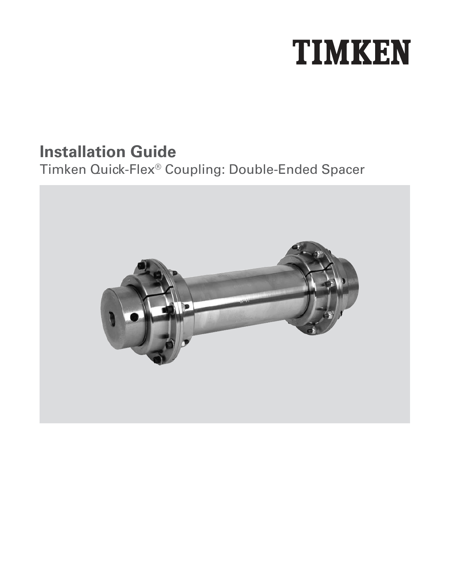# **TIMKEN**

### **Installation Guide**

### Timken Quick-Flex® Coupling: Double-Ended Spacer

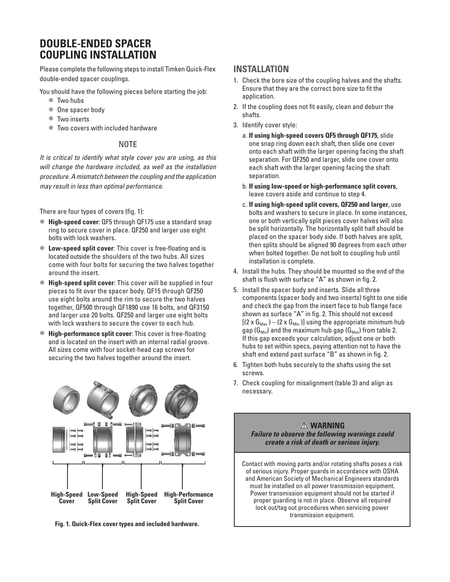#### **DOUBLE-ENDED SPACER COUPLING INSTALLATION**

Please complete the following steps to install Timken Quick-Flex double-ended spacer couplings.

You should have the following pieces before starting the job:

- **•**  Two hubs
- **•**  One spacer body
- **•**  Two inserts
- **•**  Two covers with included hardware

#### **NOTE**

It is critical to identify what style cover you are using, as this will change the hardware included, as well as the installation procedure. A mismatch between the coupling and the application may result in less than optimal performance.

There are four types of covers (fig. 1):

- **• High-speed cover**: QF5 through QF175 use a standard snap ring to secure cover in place. QF250 and larger use eight bolts with lock washers.
- **Low-speed split cover:** This cover is free-floating and is located outside the shoulders of the two hubs. All sizes come with four bolts for securing the two halves together around the insert.
- **• High-speed split cover**: This cover will be supplied in four pieces to fit over the spacer body. QF15 through QF250 use eight bolts around the rim to secure the two halves together, QF500 through QF1890 use 16 bolts, and QF3150 and larger use 20 bolts. QF250 and larger use eight bolts with lock washers to secure the cover to each hub.
- **• High-performance split cover**: This cover is free-floating and is located on the insert with an internal radial groove. All sizes come with four socket-head cap screws for securing the two halves together around the insert.



**Fig. 1. Quick-Flex cover types and included hardware.**

#### **INSTALLATION**

- 1. Check the bore size of the coupling halves and the shafts. Ensure that they are the correct bore size to fit the application.
- 2. If the coupling does not fit easily, clean and deburr the shafts.
- 3. Identify cover style:
	- a. **If using high-speed covers QF5 through QF175**, slide one snap ring down each shaft, then slide one cover onto each shaft with the larger opening facing the shaft separation. For QF250 and larger, slide one cover onto each shaft with the larger opening facing the shaft separation.
	- b. **If using low-speed or high-performance split covers**, leave covers aside and continue to step 4.
	- c. **If using high-speed split covers, QF250 and larger**, use bolts and washers to secure in place. In some instances, one or both vertically split pieces cover halves will also be split horizontally. The horizontally split half should be placed on the spacer body side. If both halves are split, then splits should be aligned 90 degrees from each other when bolted together. Do not bolt to coupling hub until installation is complete.
- 4. Install the hubs. They should be mounted so the end of the shaft is flush with surface "A" as shown in fig. 2.
- 5. Install the spacer body and inserts. Slide all three components (spacer body and two inserts) tight to one side and check the gap from the insert face to hub flange face shown as surface "A" in fig. 2. This should not exceed  $[(2 \times G_{\text{Max}}) - (2 \times G_{\text{Min}})]$  using the appropriate minimum hub gap ( $G_{Min}$ ) and the maximum hub gap ( $G_{Max}$ ) from table 2. If this gap exceeds your calculation, adjust one or both hubs to set within specs, paying attention not to have the shaft end extend past surface "B" as shown in fig. 2.
- 6. Tighten both hubs securely to the shafts using the set screws.
- 7. Check coupling for misalignment (table 3) and align as necessary.



lock out/tag out procedures when servicing power transmission equipment.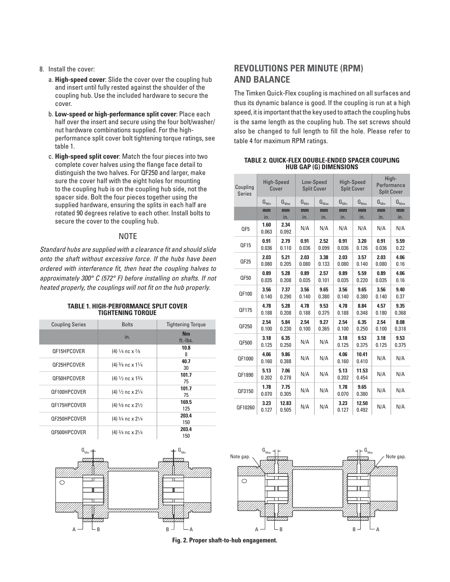#### 8. Install the cover:

- a. **High-speed cover**: Slide the cover over the coupling hub and insert until fully rested against the shoulder of the coupling hub. Use the included hardware to secure the cover.
- b. **Low-speed or high-performance split cover**: Place each half over the insert and secure using the four bolt/washer/ nut hardware combinations supplied. For the highperformance split cover bolt tightening torque ratings, see table 1.
- c. **High-speed split cover**: Match the four pieces into two complete cover halves using the flange face detail to distinguish the two halves. For QF250 and larger, make sure the cover half with the eight holes for mounting to the coupling hub is on the coupling hub side, not the spacer side. Bolt the four pieces together using the supplied hardware, ensuring the splits in each half are rotated 90 degrees relative to each other. Install bolts to secure the cover to the coupling hub.

#### NOTE

Standard hubs are supplied with a clearance fit and should slide onto the shaft without excessive force. If the hubs have been ordered with interference fit, then heat the coupling halves to approximately 300° C (572° F) before installing on shafts. If not heated properly, the couplings will not fit on the hub properly.

**TABLE 1. HIGH-PERFORMANCE SPLIT COVER** 

| <b>TIGHTENING TORQUE</b> |              |                          |  |
|--------------------------|--------------|--------------------------|--|
| <b>Coupling Series</b>   | <b>Bolts</b> | <b>Tightening Torgue</b> |  |
|                          | In.          | Nm<br>ft.-Ibs.           |  |

|              | ın.                                                      | ft.-Ibs.     |
|--------------|----------------------------------------------------------|--------------|
| QF15HPCOVER  | (4) $\frac{1}{4}$ nc x $\frac{7}{8}$                     | 10.8<br>8    |
| QF25HPCOVER  | $(4)$ $\frac{3}{8}$ nc x $\frac{1}{4}$                   | 40.7<br>30   |
| QF50HPCOVER  | $(4) \frac{1}{2}$ nc x $\frac{13}{4}$                    | 101.7<br>75  |
| QF100HPCOVER | (4) $1/2$ nc x $21/4$                                    | 101.7<br>75  |
| QF175HPCOVER | $(4)$ 5/8 nc x 21/2                                      | 169.5<br>125 |
| QF250HPCOVER | $(4)$ 3/ <sub>4</sub> nc x 2 <sup>1</sup> / <sub>4</sub> | 203.4<br>150 |
| QF500HPCOVER | $(4)$ 3/ <sub>4</sub> nc x 2 <sup>1</sup> / <sub>4</sub> | 203.4<br>150 |



#### **REVOLUTIONS PER MINUTE (RPM) AND BALANCE**

The Timken Quick-Flex coupling is machined on all surfaces and thus its dynamic balance is good. If the coupling is run at a high speed, it is important that the key used to attach the coupling hubs is the same length as the coupling hub. The set screws should also be changed to full length to fill the hole. Please refer to table 4 for maximum RPM ratings.

**TABLE 2. QUICK-FLEX DOUBLE-ENDED SPACER COUPLING HUB GAP (G) DIMENSIONS**

| Coupling<br><b>Series</b> | High-Speed<br>Cover |                  | Low-Speed<br><b>Split Cover</b> |                  | High-Speed<br><b>Split Cover</b> |                  | High-<br>Performance<br><b>Split Cover</b> |                  |
|---------------------------|---------------------|------------------|---------------------------------|------------------|----------------------------------|------------------|--------------------------------------------|------------------|
|                           | $G_{Min}$           | $G_{\text{Max}}$ | $G_{Min}$                       | $G_{\text{Max}}$ | $G_{Min}$                        | $G_{\text{Max}}$ | $G_{Min}$                                  | $G_{\text{Max}}$ |
|                           | mm<br>in.           | mm<br>in.        | mm<br>in.                       | mm<br>in.        | mm<br>in.                        | mm<br>in.        | mm<br>in.                                  | mm<br>in.        |
| QF5                       | 1.60<br>0.063       | 2.34<br>0.092    | N/A                             | N/A              | N/A                              | N/A              | N/A                                        | N/A              |
| QF15                      | 0.91<br>0.036       | 2.79<br>0.110    | 0.91<br>0.036                   | 2.52<br>0.099    | 0.91<br>0.036                    | 3.20<br>0.126    | 0.91<br>0.036                              | 5.59<br>0.22     |
| QF25                      | 2.03<br>0.080       | 5.21<br>0.205    | 2.03<br>0.080                   | 3.38<br>0.133    | 2.03<br>0.080                    | 3.57<br>0.140    | 2.03<br>0.080                              | 4.06<br>0.16     |
| QF50                      | 0.89<br>0.035       | 5.28<br>0.208    | 0.89<br>0.035                   | 2.57<br>0.101    | 0.89<br>0.035                    | 5.59<br>0.220    | 0.89<br>0.035                              | 4.06<br>0.16     |
| QF100                     | 3.56<br>0.140       | 7.37<br>0.290    | 3.56<br>0.140                   | 9.65<br>0.380    | 3.56<br>0.140                    | 9.65<br>0.380    | 3.56<br>0.140                              | 9.40<br>0.37     |
| QF175                     | 4.78<br>0.188       | 5.28<br>0.208    | 4.78<br>0.188                   | 9.53<br>0.375    | 4.78<br>0.188                    | 8.84<br>0.348    | 4.57<br>0.180                              | 9.35<br>0.368    |
| QF250                     | 2.54<br>0.100       | 5.84<br>0.230    | 2.54<br>0.100                   | 9.27<br>0.365    | 2.54<br>0.100                    | 6.35<br>0.250    | 2.54<br>0.100                              | 8.08<br>0.318    |
| QF500                     | 3.18<br>0.125       | 6.35<br>0.250    | N/A                             | N/A              | 3.18<br>0.125                    | 9.53<br>0.375    | 3.18<br>0.125                              | 9.53<br>0.375    |
| QF1000                    | 4.06<br>0.160       | 9.86<br>0.388    | N/A                             | N/A              | 4.06<br>0.160                    | 10.41<br>0.410   | N/A                                        | N/A              |
| QF1890                    | 5.13<br>0.202       | 7.06<br>0.278    | N/A                             | N/A              | 5.13<br>0.202                    | 11.53<br>0.454   | N/A                                        | N/A              |
| QF3150                    | 1.78<br>0.070       | 7.75<br>0.305    | N/A                             | N/A              | 1.78<br>0.070                    | 9.65<br>0.380    | N/A                                        | N/A              |
| QF10260                   | 3.23<br>0.127       | 12.83<br>0.505   | N/A                             | N/A              | 3.23<br>0.127                    | 12.50<br>0.492   | N/A                                        | N/A              |



**Fig. 2. Proper shaft-to-hub engagement.**